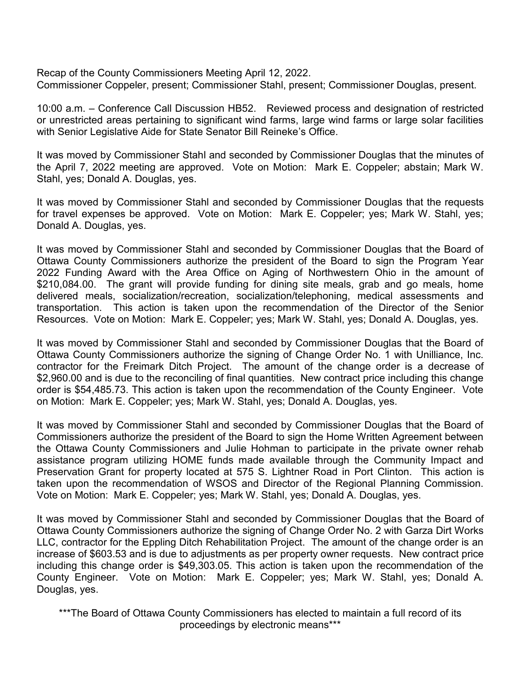Recap of the County Commissioners Meeting April 12, 2022. Commissioner Coppeler, present; Commissioner Stahl, present; Commissioner Douglas, present.

10:00 a.m. – Conference Call Discussion HB52. Reviewed process and designation of restricted or unrestricted areas pertaining to significant wind farms, large wind farms or large solar facilities with Senior Legislative Aide for State Senator Bill Reineke's Office.

It was moved by Commissioner Stahl and seconded by Commissioner Douglas that the minutes of the April 7, 2022 meeting are approved. Vote on Motion: Mark E. Coppeler; abstain; Mark W. Stahl, yes; Donald A. Douglas, yes.

It was moved by Commissioner Stahl and seconded by Commissioner Douglas that the requests for travel expenses be approved. Vote on Motion: Mark E. Coppeler; yes; Mark W. Stahl, yes; Donald A. Douglas, yes.

It was moved by Commissioner Stahl and seconded by Commissioner Douglas that the Board of Ottawa County Commissioners authorize the president of the Board to sign the Program Year 2022 Funding Award with the Area Office on Aging of Northwestern Ohio in the amount of \$210,084.00. The grant will provide funding for dining site meals, grab and go meals, home delivered meals, socialization/recreation, socialization/telephoning, medical assessments and transportation. This action is taken upon the recommendation of the Director of the Senior Resources. Vote on Motion: Mark E. Coppeler; yes; Mark W. Stahl, yes; Donald A. Douglas, yes.

It was moved by Commissioner Stahl and seconded by Commissioner Douglas that the Board of Ottawa County Commissioners authorize the signing of Change Order No. 1 with Unilliance, Inc. contractor for the Freimark Ditch Project. The amount of the change order is a decrease of \$2,960.00 and is due to the reconciling of final quantities. New contract price including this change order is \$54,485.73. This action is taken upon the recommendation of the County Engineer. Vote on Motion: Mark E. Coppeler; yes; Mark W. Stahl, yes; Donald A. Douglas, yes.

It was moved by Commissioner Stahl and seconded by Commissioner Douglas that the Board of Commissioners authorize the president of the Board to sign the Home Written Agreement between the Ottawa County Commissioners and Julie Hohman to participate in the private owner rehab assistance program utilizing HOME funds made available through the Community Impact and Preservation Grant for property located at 575 S. Lightner Road in Port Clinton. This action is taken upon the recommendation of WSOS and Director of the Regional Planning Commission. Vote on Motion: Mark E. Coppeler; yes; Mark W. Stahl, yes; Donald A. Douglas, yes.

It was moved by Commissioner Stahl and seconded by Commissioner Douglas that the Board of Ottawa County Commissioners authorize the signing of Change Order No. 2 with Garza Dirt Works LLC, contractor for the Eppling Ditch Rehabilitation Project. The amount of the change order is an increase of \$603.53 and is due to adjustments as per property owner requests. New contract price including this change order is \$49,303.05. This action is taken upon the recommendation of the County Engineer. Vote on Motion: Mark E. Coppeler; yes; Mark W. Stahl, yes; Donald A. Douglas, yes.

\*\*\*The Board of Ottawa County Commissioners has elected to maintain a full record of its proceedings by electronic means\*\*\*